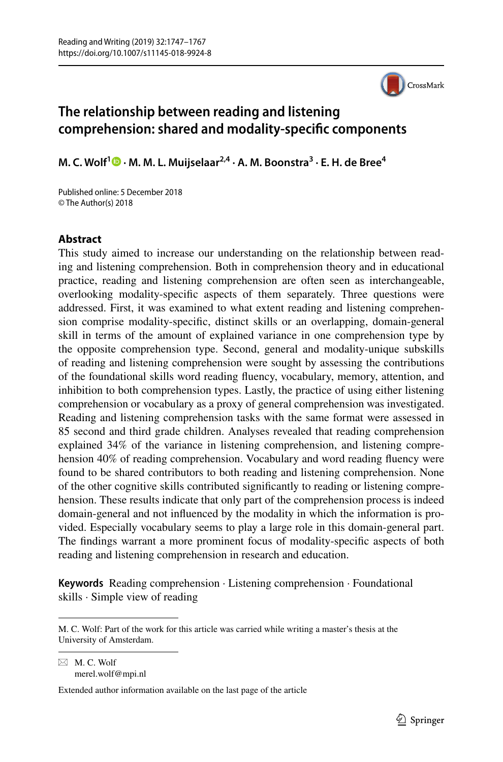

# **The relationship between reading and listening comprehension: shared and modality‑specifc components**

**M. C. Wolf1  [·](http://orcid.org/0000-0001-5995-9265) M. M. L. Muijselaar2,4 · A. M. Boonstra3 · E. H. de Bree4**

Published online: 5 December 2018 © The Author(s) 2018

# **Abstract**

This study aimed to increase our understanding on the relationship between reading and listening comprehension. Both in comprehension theory and in educational practice, reading and listening comprehension are often seen as interchangeable, overlooking modality-specifc aspects of them separately. Three questions were addressed. First, it was examined to what extent reading and listening comprehension comprise modality-specifc, distinct skills or an overlapping, domain-general skill in terms of the amount of explained variance in one comprehension type by the opposite comprehension type. Second, general and modality-unique subskills of reading and listening comprehension were sought by assessing the contributions of the foundational skills word reading fuency, vocabulary, memory, attention, and inhibition to both comprehension types. Lastly, the practice of using either listening comprehension or vocabulary as a proxy of general comprehension was investigated. Reading and listening comprehension tasks with the same format were assessed in 85 second and third grade children. Analyses revealed that reading comprehension explained 34% of the variance in listening comprehension, and listening comprehension 40% of reading comprehension. Vocabulary and word reading fuency were found to be shared contributors to both reading and listening comprehension. None of the other cognitive skills contributed signifcantly to reading or listening comprehension. These results indicate that only part of the comprehension process is indeed domain-general and not infuenced by the modality in which the information is provided. Especially vocabulary seems to play a large role in this domain-general part. The fndings warrant a more prominent focus of modality-specifc aspects of both reading and listening comprehension in research and education.

**Keywords** Reading comprehension · Listening comprehension · Foundational skills · Simple view of reading

M. C. Wolf: Part of the work for this article was carried while writing a master's thesis at the University of Amsterdam.

 $\boxtimes$  M. C. Wolf merel.wolf@mpi.nl

Extended author information available on the last page of the article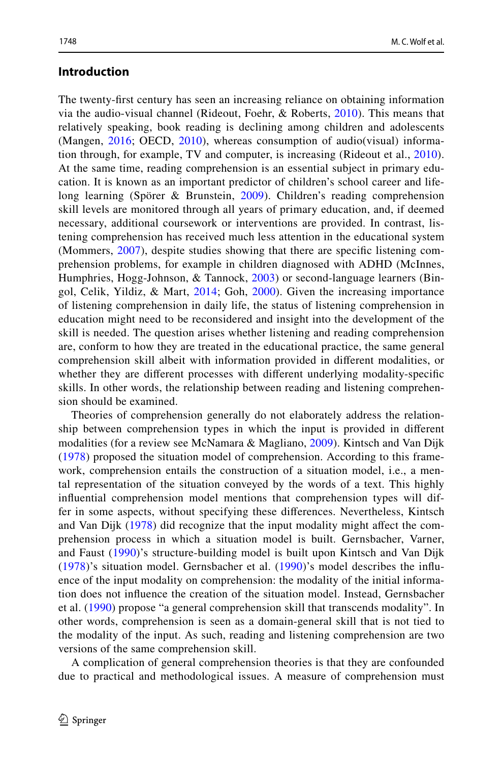### **Introduction**

The twenty-frst century has seen an increasing reliance on obtaining information via the audio-visual channel (Rideout, Foehr, & Roberts, [2010\)](#page-19-0). This means that relatively speaking, book reading is declining among children and adolescents (Mangen, [2016](#page-19-1); OECD, [2010\)](#page-19-2), whereas consumption of audio(visual) information through, for example, TV and computer, is increasing (Rideout et al., [2010](#page-19-0)). At the same time, reading comprehension is an essential subject in primary education. It is known as an important predictor of children's school career and lifelong learning (Spörer & Brunstein, [2009\)](#page-19-3). Children's reading comprehension skill levels are monitored through all years of primary education, and, if deemed necessary, additional coursework or interventions are provided. In contrast, listening comprehension has received much less attention in the educational system (Mommers, [2007](#page-19-4)), despite studies showing that there are specifc listening comprehension problems, for example in children diagnosed with ADHD (McInnes, Humphries, Hogg-Johnson, & Tannock, [2003\)](#page-19-5) or second-language learners (Bingol, Celik, Yildiz, & Mart, [2014;](#page-17-0) Goh, [2000\)](#page-18-0). Given the increasing importance of listening comprehension in daily life, the status of listening comprehension in education might need to be reconsidered and insight into the development of the skill is needed. The question arises whether listening and reading comprehension are, conform to how they are treated in the educational practice, the same general comprehension skill albeit with information provided in diferent modalities, or whether they are diferent processes with diferent underlying modality-specifc skills. In other words, the relationship between reading and listening comprehension should be examined.

Theories of comprehension generally do not elaborately address the relationship between comprehension types in which the input is provided in diferent modalities (for a review see McNamara & Magliano, [2009](#page-19-6)). Kintsch and Van Dijk [\(1978](#page-18-1)) proposed the situation model of comprehension. According to this framework, comprehension entails the construction of a situation model, i.e., a mental representation of the situation conveyed by the words of a text. This highly infuential comprehension model mentions that comprehension types will differ in some aspects, without specifying these diferences. Nevertheless, Kintsch and Van Dijk ([1978\)](#page-18-1) did recognize that the input modality might afect the comprehension process in which a situation model is built. Gernsbacher, Varner, and Faust [\(1990](#page-18-2))'s structure-building model is built upon Kintsch and Van Dijk [\(1978](#page-18-1))'s situation model. Gernsbacher et al. ([1990](#page-18-2))'s model describes the infuence of the input modality on comprehension: the modality of the initial information does not infuence the creation of the situation model. Instead, Gernsbacher et al. ([1990\)](#page-18-2) propose "a general comprehension skill that transcends modality". In other words, comprehension is seen as a domain-general skill that is not tied to the modality of the input. As such, reading and listening comprehension are two versions of the same comprehension skill.

A complication of general comprehension theories is that they are confounded due to practical and methodological issues. A measure of comprehension must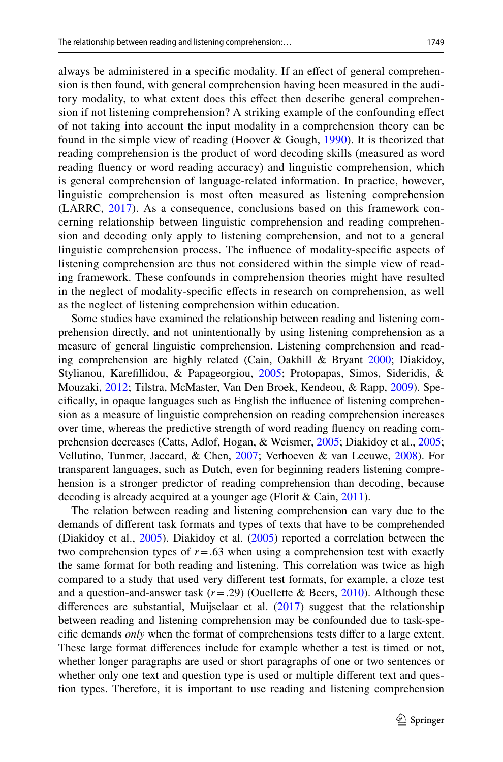always be administered in a specifc modality. If an efect of general comprehension is then found, with general comprehension having been measured in the auditory modality, to what extent does this efect then describe general comprehension if not listening comprehension? A striking example of the confounding efect of not taking into account the input modality in a comprehension theory can be found in the simple view of reading (Hoover & Gough, [1990](#page-18-3)). It is theorized that reading comprehension is the product of word decoding skills (measured as word reading fuency or word reading accuracy) and linguistic comprehension, which is general comprehension of language-related information. In practice, however, linguistic comprehension is most often measured as listening comprehension (LARRC, [2017](#page-19-7)). As a consequence, conclusions based on this framework concerning relationship between linguistic comprehension and reading comprehension and decoding only apply to listening comprehension, and not to a general linguistic comprehension process. The infuence of modality-specifc aspects of listening comprehension are thus not considered within the simple view of reading framework. These confounds in comprehension theories might have resulted in the neglect of modality-specifc efects in research on comprehension, as well as the neglect of listening comprehension within education.

Some studies have examined the relationship between reading and listening comprehension directly, and not unintentionally by using listening comprehension as a measure of general linguistic comprehension. Listening comprehension and reading comprehension are highly related (Cain, Oakhill & Bryant [2000;](#page-17-1) Diakidoy, Stylianou, Karefllidou, & Papageorgiou, [2005](#page-18-4); Protopapas, Simos, Sideridis, & Mouzaki, [2012;](#page-19-8) Tilstra, McMaster, Van Den Broek, Kendeou, & Rapp, [2009](#page-20-0)). Specifcally, in opaque languages such as English the infuence of listening comprehension as a measure of linguistic comprehension on reading comprehension increases over time, whereas the predictive strength of word reading fuency on reading comprehension decreases (Catts, Adlof, Hogan, & Weismer, [2005;](#page-17-2) Diakidoy et al., [2005;](#page-18-4) Vellutino, Tunmer, Jaccard, & Chen, [2007;](#page-20-1) Verhoeven & van Leeuwe, [2008](#page-20-2)). For transparent languages, such as Dutch, even for beginning readers listening comprehension is a stronger predictor of reading comprehension than decoding, because decoding is already acquired at a younger age (Florit & Cain, [2011](#page-18-5)).

The relation between reading and listening comprehension can vary due to the demands of diferent task formats and types of texts that have to be comprehended (Diakidoy et al., [2005\)](#page-18-4). Diakidoy et al. ([2005\)](#page-18-4) reported a correlation between the two comprehension types of  $r = .63$  when using a comprehension test with exactly the same format for both reading and listening. This correlation was twice as high compared to a study that used very diferent test formats, for example, a cloze test and a question-and-answer task  $(r=.29)$  (Ouellette & Beers, [2010](#page-19-9)). Although these diferences are substantial, Muijselaar et al. [\(2017](#page-19-10)) suggest that the relationship between reading and listening comprehension may be confounded due to task-specifc demands *only* when the format of comprehensions tests difer to a large extent. These large format diferences include for example whether a test is timed or not, whether longer paragraphs are used or short paragraphs of one or two sentences or whether only one text and question type is used or multiple diferent text and question types. Therefore, it is important to use reading and listening comprehension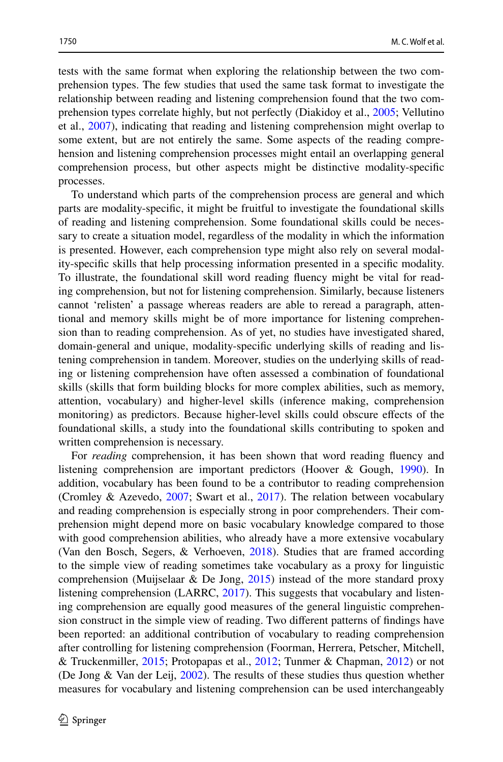tests with the same format when exploring the relationship between the two comprehension types. The few studies that used the same task format to investigate the relationship between reading and listening comprehension found that the two comprehension types correlate highly, but not perfectly (Diakidoy et al., [2005;](#page-18-4) Vellutino et al., [2007](#page-20-1)), indicating that reading and listening comprehension might overlap to some extent, but are not entirely the same. Some aspects of the reading comprehension and listening comprehension processes might entail an overlapping general comprehension process, but other aspects might be distinctive modality-specifc processes.

To understand which parts of the comprehension process are general and which parts are modality-specifc, it might be fruitful to investigate the foundational skills of reading and listening comprehension. Some foundational skills could be necessary to create a situation model, regardless of the modality in which the information is presented. However, each comprehension type might also rely on several modality-specifc skills that help processing information presented in a specifc modality. To illustrate, the foundational skill word reading fuency might be vital for reading comprehension, but not for listening comprehension. Similarly, because listeners cannot 'relisten' a passage whereas readers are able to reread a paragraph, attentional and memory skills might be of more importance for listening comprehension than to reading comprehension. As of yet, no studies have investigated shared, domain-general and unique, modality-specifc underlying skills of reading and listening comprehension in tandem. Moreover, studies on the underlying skills of reading or listening comprehension have often assessed a combination of foundational skills (skills that form building blocks for more complex abilities, such as memory, attention, vocabulary) and higher-level skills (inference making, comprehension monitoring) as predictors. Because higher-level skills could obscure efects of the foundational skills, a study into the foundational skills contributing to spoken and written comprehension is necessary.

For *reading* comprehension, it has been shown that word reading fuency and listening comprehension are important predictors (Hoover & Gough, [1990](#page-18-3)). In addition, vocabulary has been found to be a contributor to reading comprehension (Cromley & Azevedo, [2007](#page-17-3); Swart et al., [2017\)](#page-19-11). The relation between vocabulary and reading comprehension is especially strong in poor comprehenders. Their comprehension might depend more on basic vocabulary knowledge compared to those with good comprehension abilities, who already have a more extensive vocabulary (Van den Bosch, Segers, & Verhoeven, [2018](#page-20-3)). Studies that are framed according to the simple view of reading sometimes take vocabulary as a proxy for linguistic comprehension (Muijselaar & De Jong, [2015\)](#page-19-12) instead of the more standard proxy listening comprehension (LARRC, [2017](#page-19-7)). This suggests that vocabulary and listening comprehension are equally good measures of the general linguistic comprehension construct in the simple view of reading. Two diferent patterns of fndings have been reported: an additional contribution of vocabulary to reading comprehension after controlling for listening comprehension (Foorman, Herrera, Petscher, Mitchell, & Truckenmiller, [2015](#page-18-6); Protopapas et al., [2012;](#page-19-8) Tunmer & Chapman, [2012\)](#page-20-4) or not (De Jong & Van der Leij, [2002](#page-17-4)). The results of these studies thus question whether measures for vocabulary and listening comprehension can be used interchangeably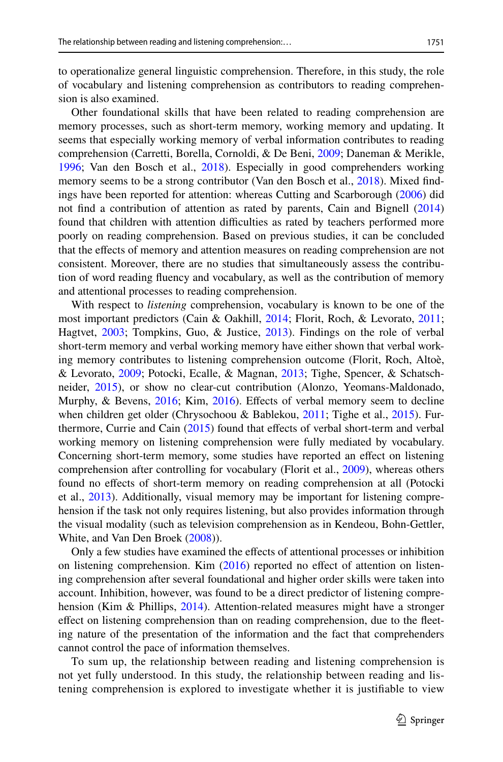to operationalize general linguistic comprehension. Therefore, in this study, the role of vocabulary and listening comprehension as contributors to reading comprehension is also examined.

Other foundational skills that have been related to reading comprehension are memory processes, such as short-term memory, working memory and updating. It seems that especially working memory of verbal information contributes to reading comprehension (Carretti, Borella, Cornoldi, & De Beni, [2009](#page-17-5); Daneman & Merikle, [1996](#page-17-6); Van den Bosch et al., [2018](#page-20-3)). Especially in good comprehenders working memory seems to be a strong contributor (Van den Bosch et al., [2018](#page-20-3)). Mixed fndings have been reported for attention: whereas Cutting and Scarborough [\(2006](#page-17-7)) did not fnd a contribution of attention as rated by parents, Cain and Bignell [\(2014](#page-17-8)) found that children with attention difficulties as rated by teachers performed more poorly on reading comprehension. Based on previous studies, it can be concluded that the efects of memory and attention measures on reading comprehension are not consistent. Moreover, there are no studies that simultaneously assess the contribution of word reading fuency and vocabulary, as well as the contribution of memory and attentional processes to reading comprehension.

With respect to *listening* comprehension, vocabulary is known to be one of the most important predictors (Cain & Oakhill, [2014](#page-17-9); Florit, Roch, & Levorato, [2011;](#page-18-7) Hagtvet, [2003;](#page-18-8) Tompkins, Guo, & Justice, [2013\)](#page-20-5). Findings on the role of verbal short-term memory and verbal working memory have either shown that verbal working memory contributes to listening comprehension outcome (Florit, Roch, Altoè, & Levorato, [2009](#page-18-9); Potocki, Ecalle, & Magnan, [2013;](#page-19-13) Tighe, Spencer, & Schatschneider, [2015\)](#page-19-14), or show no clear-cut contribution (Alonzo, Yeomans-Maldonado, Murphy, & Bevens, [2016](#page-17-10); Kim, [2016\)](#page-18-10). Efects of verbal memory seem to decline when children get older (Chrysochoou & Bablekou, [2011;](#page-17-11) Tighe et al., [2015](#page-19-14)). Furthermore, Currie and Cain ([2015\)](#page-17-12) found that efects of verbal short-term and verbal working memory on listening comprehension were fully mediated by vocabulary. Concerning short-term memory, some studies have reported an efect on listening comprehension after controlling for vocabulary (Florit et al., [2009](#page-18-9)), whereas others found no efects of short-term memory on reading comprehension at all (Potocki et al., [2013](#page-19-13)). Additionally, visual memory may be important for listening comprehension if the task not only requires listening, but also provides information through the visual modality (such as television comprehension as in Kendeou, Bohn-Gettler, White, and Van Den Broek [\(2008](#page-18-11))).

Only a few studies have examined the efects of attentional processes or inhibition on listening comprehension. Kim  $(2016)$  $(2016)$  reported no effect of attention on listening comprehension after several foundational and higher order skills were taken into account. Inhibition, however, was found to be a direct predictor of listening comprehension (Kim & Phillips, [2014\)](#page-18-12). Attention-related measures might have a stronger efect on listening comprehension than on reading comprehension, due to the feeting nature of the presentation of the information and the fact that comprehenders cannot control the pace of information themselves.

To sum up, the relationship between reading and listening comprehension is not yet fully understood. In this study, the relationship between reading and listening comprehension is explored to investigate whether it is justifable to view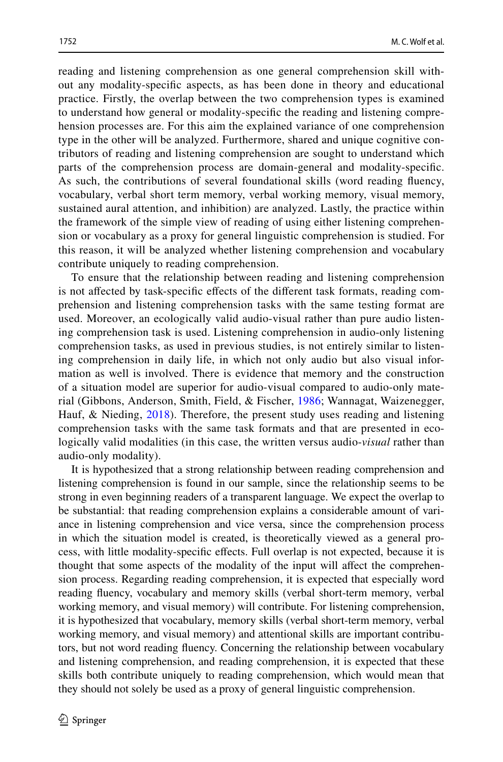reading and listening comprehension as one general comprehension skill without any modality-specifc aspects, as has been done in theory and educational practice. Firstly, the overlap between the two comprehension types is examined to understand how general or modality-specifc the reading and listening comprehension processes are. For this aim the explained variance of one comprehension type in the other will be analyzed. Furthermore, shared and unique cognitive contributors of reading and listening comprehension are sought to understand which parts of the comprehension process are domain-general and modality-specifc. As such, the contributions of several foundational skills (word reading fuency, vocabulary, verbal short term memory, verbal working memory, visual memory, sustained aural attention, and inhibition) are analyzed. Lastly, the practice within the framework of the simple view of reading of using either listening comprehension or vocabulary as a proxy for general linguistic comprehension is studied. For this reason, it will be analyzed whether listening comprehension and vocabulary contribute uniquely to reading comprehension.

To ensure that the relationship between reading and listening comprehension is not afected by task-specifc efects of the diferent task formats, reading comprehension and listening comprehension tasks with the same testing format are used. Moreover, an ecologically valid audio-visual rather than pure audio listening comprehension task is used. Listening comprehension in audio-only listening comprehension tasks, as used in previous studies, is not entirely similar to listening comprehension in daily life, in which not only audio but also visual information as well is involved. There is evidence that memory and the construction of a situation model are superior for audio-visual compared to audio-only material (Gibbons, Anderson, Smith, Field, & Fischer, [1986](#page-18-13); Wannagat, Waizenegger, Hauf, & Nieding, [2018\)](#page-20-6). Therefore, the present study uses reading and listening comprehension tasks with the same task formats and that are presented in ecologically valid modalities (in this case, the written versus audio-*visual* rather than audio-only modality).

It is hypothesized that a strong relationship between reading comprehension and listening comprehension is found in our sample, since the relationship seems to be strong in even beginning readers of a transparent language. We expect the overlap to be substantial: that reading comprehension explains a considerable amount of variance in listening comprehension and vice versa, since the comprehension process in which the situation model is created, is theoretically viewed as a general process, with little modality-specifc efects. Full overlap is not expected, because it is thought that some aspects of the modality of the input will afect the comprehension process. Regarding reading comprehension, it is expected that especially word reading fuency, vocabulary and memory skills (verbal short-term memory, verbal working memory, and visual memory) will contribute. For listening comprehension, it is hypothesized that vocabulary, memory skills (verbal short-term memory, verbal working memory, and visual memory) and attentional skills are important contributors, but not word reading fuency. Concerning the relationship between vocabulary and listening comprehension, and reading comprehension, it is expected that these skills both contribute uniquely to reading comprehension, which would mean that they should not solely be used as a proxy of general linguistic comprehension.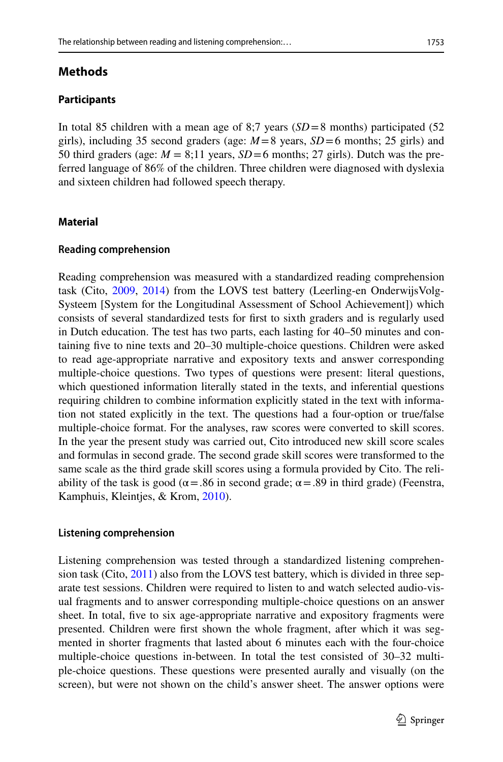# **Methods**

### **Participants**

In total 85 children with a mean age of 8;7 years (*SD*=8 months) participated (52 girls), including 35 second graders (age:  $M=8$  years,  $SD=6$  months; 25 girls) and 50 third graders (age:  $M = 8;11$  years,  $SD = 6$  months; 27 girls). Dutch was the preferred language of 86% of the children. Three children were diagnosed with dyslexia and sixteen children had followed speech therapy.

#### **Material**

### **Reading comprehension**

Reading comprehension was measured with a standardized reading comprehension task (Cito, [2009](#page-17-13), [2014\)](#page-17-14) from the LOVS test battery (Leerling-en OnderwijsVolg-Systeem [System for the Longitudinal Assessment of School Achievement]) which consists of several standardized tests for frst to sixth graders and is regularly used in Dutch education. The test has two parts, each lasting for 40–50 minutes and containing fve to nine texts and 20–30 multiple-choice questions. Children were asked to read age-appropriate narrative and expository texts and answer corresponding multiple-choice questions. Two types of questions were present: literal questions, which questioned information literally stated in the texts, and inferential questions requiring children to combine information explicitly stated in the text with information not stated explicitly in the text. The questions had a four-option or true/false multiple-choice format. For the analyses, raw scores were converted to skill scores. In the year the present study was carried out, Cito introduced new skill score scales and formulas in second grade. The second grade skill scores were transformed to the same scale as the third grade skill scores using a formula provided by Cito. The reliability of the task is good ( $\alpha = .86$  in second grade;  $\alpha = .89$  in third grade) (Feenstra, Kamphuis, Kleintjes, & Krom, [2010\)](#page-18-14).

#### **Listening comprehension**

Listening comprehension was tested through a standardized listening comprehension task (Cito, [2011](#page-17-15)) also from the LOVS test battery, which is divided in three separate test sessions. Children were required to listen to and watch selected audio-visual fragments and to answer corresponding multiple-choice questions on an answer sheet. In total, fve to six age-appropriate narrative and expository fragments were presented. Children were frst shown the whole fragment, after which it was segmented in shorter fragments that lasted about 6 minutes each with the four-choice multiple-choice questions in-between. In total the test consisted of 30–32 multiple-choice questions. These questions were presented aurally and visually (on the screen), but were not shown on the child's answer sheet. The answer options were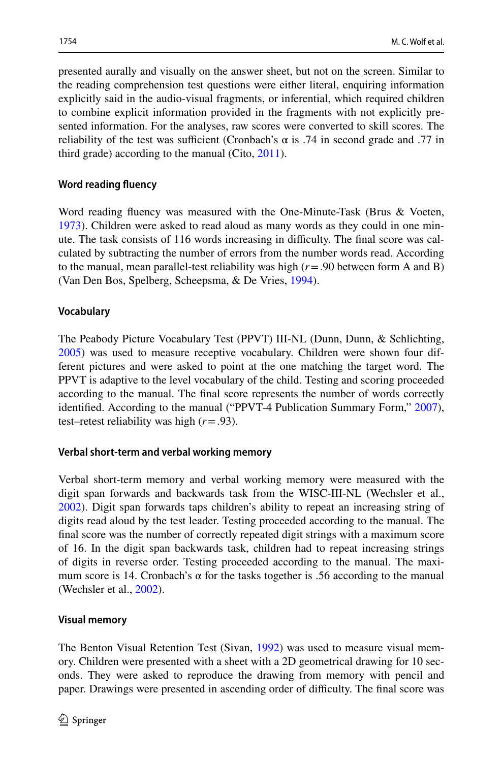presented aurally and visually on the answer sheet, but not on the screen. Similar to the reading comprehension test questions were either literal, enquiring information explicitly said in the audio-visual fragments, or inferential, which required children to combine explicit information provided in the fragments with not explicitly presented information. For the analyses, raw scores were converted to skill scores. The reliability of the test was sufficient (Cronbach's  $\alpha$  is .74 in second grade and .77 in third grade) according to the manual (Cito, [2011](#page-17-15)).

### **Word reading fuency**

Word reading fuency was measured with the One-Minute-Task (Brus & Voeten, [1973](#page-17-16)). Children were asked to read aloud as many words as they could in one minute. The task consists of 116 words increasing in difculty. The fnal score was calculated by subtracting the number of errors from the number words read. According to the manual, mean parallel-test reliability was high (*r*=.90 between form A and B) (Van Den Bos, Spelberg, Scheepsma, & De Vries, [1994\)](#page-20-7).

### **Vocabulary**

The Peabody Picture Vocabulary Test (PPVT) III-NL (Dunn, Dunn, & Schlichting, [2005](#page-18-15)) was used to measure receptive vocabulary. Children were shown four different pictures and were asked to point at the one matching the target word. The PPVT is adaptive to the level vocabulary of the child. Testing and scoring proceeded according to the manual. The fnal score represents the number of words correctly identifed. According to the manual ("PPVT-4 Publication Summary Form," [2007\)](#page-19-15), test–retest reliability was high (*r*=.93).

### **Verbal short‑term and verbal working memory**

Verbal short-term memory and verbal working memory were measured with the digit span forwards and backwards task from the WISC-III-NL (Wechsler et al., [2002](#page-20-8)). Digit span forwards taps children's ability to repeat an increasing string of digits read aloud by the test leader. Testing proceeded according to the manual. The fnal score was the number of correctly repeated digit strings with a maximum score of 16. In the digit span backwards task, children had to repeat increasing strings of digits in reverse order. Testing proceeded according to the manual. The maximum score is 14. Cronbach's  $\alpha$  for the tasks together is .56 according to the manual (Wechsler et al., [2002](#page-20-8)).

# **Visual memory**

The Benton Visual Retention Test (Sivan, [1992](#page-19-16)) was used to measure visual memory. Children were presented with a sheet with a 2D geometrical drawing for 10 seconds. They were asked to reproduce the drawing from memory with pencil and paper. Drawings were presented in ascending order of difficulty. The final score was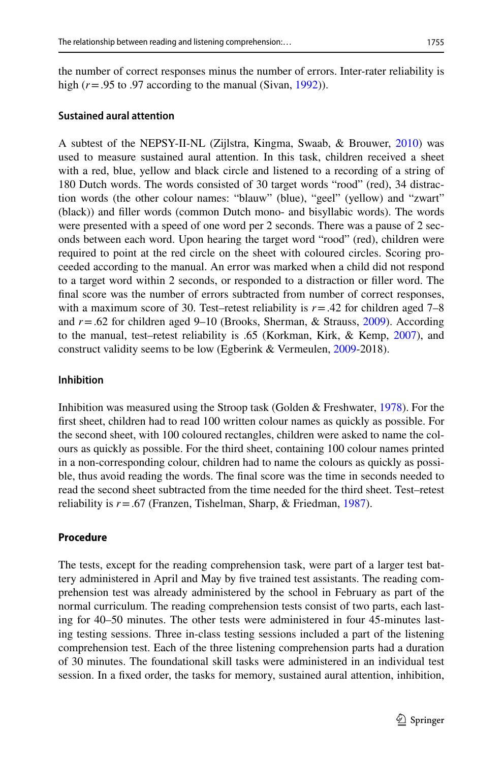the number of correct responses minus the number of errors. Inter-rater reliability is high  $(r = .95$  to  $.97$  according to the manual (Sivan, [1992\)](#page-19-16)).

#### **Sustained aural attention**

A subtest of the NEPSY-II-NL (Zijlstra, Kingma, Swaab, & Brouwer, [2010\)](#page-20-9) was used to measure sustained aural attention. In this task, children received a sheet with a red, blue, yellow and black circle and listened to a recording of a string of 180 Dutch words. The words consisted of 30 target words "rood" (red), 34 distraction words (the other colour names: "blauw" (blue), "geel" (yellow) and "zwart" (black)) and fller words (common Dutch mono- and bisyllabic words). The words were presented with a speed of one word per 2 seconds. There was a pause of 2 seconds between each word. Upon hearing the target word "rood" (red), children were required to point at the red circle on the sheet with coloured circles. Scoring proceeded according to the manual. An error was marked when a child did not respond to a target word within 2 seconds, or responded to a distraction or fller word. The fnal score was the number of errors subtracted from number of correct responses, with a maximum score of 30. Test–retest reliability is  $r = .42$  for children aged 7–8 and *r*=.62 for children aged 9–10 (Brooks, Sherman, & Strauss, [2009](#page-17-17)). According to the manual, test–retest reliability is .65 (Korkman, Kirk, & Kemp, [2007](#page-19-17)), and construct validity seems to be low (Egberink & Vermeulen, [2009-](#page-18-16)2018).

#### **Inhibition**

Inhibition was measured using the Stroop task (Golden & Freshwater, [1978\)](#page-18-17). For the frst sheet, children had to read 100 written colour names as quickly as possible. For the second sheet, with 100 coloured rectangles, children were asked to name the colours as quickly as possible. For the third sheet, containing 100 colour names printed in a non-corresponding colour, children had to name the colours as quickly as possible, thus avoid reading the words. The fnal score was the time in seconds needed to read the second sheet subtracted from the time needed for the third sheet. Test–retest reliability is *r*=.67 (Franzen, Tishelman, Sharp, & Friedman, [1987\)](#page-18-18).

#### **Procedure**

The tests, except for the reading comprehension task, were part of a larger test battery administered in April and May by fve trained test assistants. The reading comprehension test was already administered by the school in February as part of the normal curriculum. The reading comprehension tests consist of two parts, each lasting for 40–50 minutes. The other tests were administered in four 45-minutes lasting testing sessions. Three in-class testing sessions included a part of the listening comprehension test. Each of the three listening comprehension parts had a duration of 30 minutes. The foundational skill tasks were administered in an individual test session. In a fxed order, the tasks for memory, sustained aural attention, inhibition,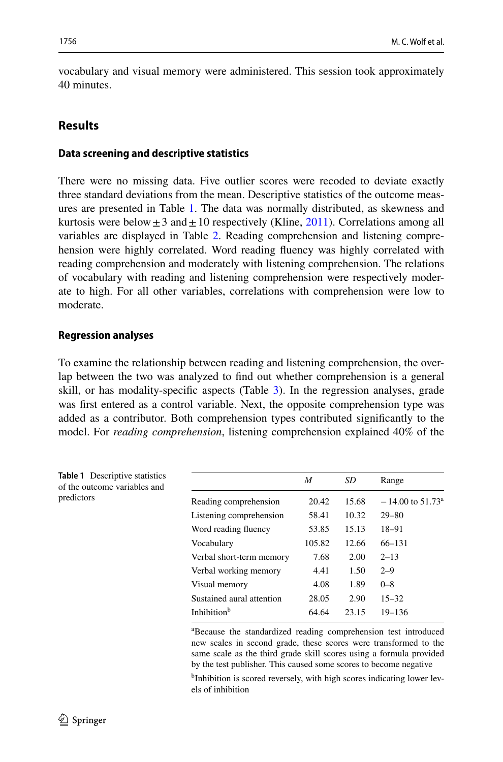vocabulary and visual memory were administered. This session took approximately 40 minutes.

# **Results**

# **Data screening and descriptive statistics**

There were no missing data. Five outlier scores were recoded to deviate exactly three standard deviations from the mean. Descriptive statistics of the outcome measures are presented in Table [1.](#page-9-0) The data was normally distributed, as skewness and kurtosis were below  $\pm 3$  and  $\pm 10$  respectively (Kline, [2011](#page-19-18)). Correlations among all variables are displayed in Table [2.](#page-10-0) Reading comprehension and listening comprehension were highly correlated. Word reading fuency was highly correlated with reading comprehension and moderately with listening comprehension. The relations of vocabulary with reading and listening comprehension were respectively moderate to high. For all other variables, correlations with comprehension were low to moderate.

# **Regression analyses**

To examine the relationship between reading and listening comprehension, the overlap between the two was analyzed to fnd out whether comprehension is a general skill, or has modality-specifc aspects (Table [3\)](#page-11-0). In the regression analyses, grade was frst entered as a control variable. Next, the opposite comprehension type was added as a contributor. Both comprehension types contributed signifcantly to the model. For *reading comprehension*, listening comprehension explained 40% of the

<span id="page-9-0"></span>

| <b>Table 1</b> Descriptive statistics<br>of the outcome variables and |                           | M      | SD    | Range                |
|-----------------------------------------------------------------------|---------------------------|--------|-------|----------------------|
| predictors                                                            | Reading comprehension     | 20.42  | 15.68 | $-14.00$ to $51.73a$ |
|                                                                       | Listening comprehension   | 58.41  | 10.32 | $29 - 80$            |
|                                                                       | Word reading fluency      | 53.85  | 15.13 | 18-91                |
|                                                                       | Vocabulary                | 105.82 | 12.66 | $66 - 131$           |
|                                                                       | Verbal short-term memory  | 7.68   | 2.00  | $2 - 13$             |
|                                                                       | Verbal working memory     | 4.41   | 1.50  | $2 - 9$              |
|                                                                       | Visual memory             | 4.08   | 1.89  | $0 - 8$              |
|                                                                       | Sustained aural attention | 28.05  | 2.90  | $15 - 32$            |
|                                                                       | Inhibition <sup>b</sup>   | 64.64  | 23.15 | $19 - 136$           |
|                                                                       |                           |        |       |                      |

a Because the standardized reading comprehension test introduced new scales in second grade, these scores were transformed to the same scale as the third grade skill scores using a formula provided by the test publisher. This caused some scores to become negative

b Inhibition is scored reversely, with high scores indicating lower levels of inhibition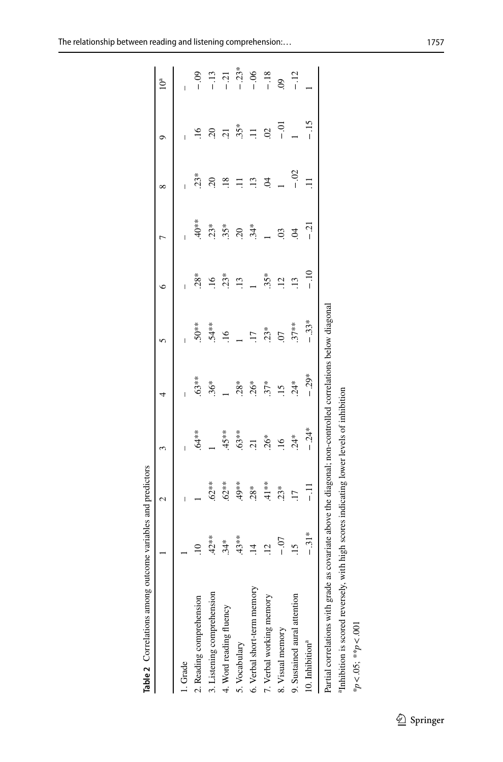|                                                                                                             |                                                        | 2               | 3                | 4               | 5               | ७                |                | ∝                | ᡋ                | $\sum_{i=1}^{n}$ |
|-------------------------------------------------------------------------------------------------------------|--------------------------------------------------------|-----------------|------------------|-----------------|-----------------|------------------|----------------|------------------|------------------|------------------|
| Grade                                                                                                       |                                                        |                 |                  |                 |                 |                  |                |                  |                  |                  |
| 2. Reading comprehension                                                                                    |                                                        |                 | $.64**$          | $.63**$         | $.50**$         | $28*$            | $40*$          | $23*$            | $\frac{6}{1}$    |                  |
| 3. Listening comprehension                                                                                  | $42**$                                                 | $.62**$         |                  | $.36*$          | $.54**$         | $\overline{.16}$ | $23*$          | $\overline{c}$ . | $\overline{c}$ . | $-13$            |
| 4. Word reading fluency                                                                                     | $34*$                                                  | $.62**$         | $45**$           |                 | $-16$           | $.23*$           | $.35*$         | $\overline{18}$  | $\overline{c}$   | ៊ុ               |
| 5. Vocabulary                                                                                               | $.43**$                                                | $49***$         | $.63**$          | $28*$           |                 | $\ddot{.}$       | $\overline{c}$ | ミ                | $.35*$           | $-.23*$          |
| 6. Verbal short-term memory                                                                                 | $\overline{14}$                                        | $28*$           | $\overline{c}$   | $.26*$          | $\overline{11}$ |                  | $34*$          | $\overline{13}$  | $\Xi$            | $-0.06$          |
| 7. Verbal working memory                                                                                    | $\overline{12}$                                        | $.41**$         | $.26*$           | $37*$           | $23*$           | $35*$            | $\overline{a}$ | $\ddot{5}$       | $\overline{0}$   | $-.18$           |
| 8. Visual memory                                                                                            | $-0.7$                                                 | $23*$           | $\overline{.16}$ | $\overline{15}$ | Ċ.              | $\overline{12}$  | $\overline{0}$ | $\frac{1}{2}$    | $-0.$            | $\overline{0}$   |
| 9. Sustained aural attention                                                                                | $\overline{15}$                                        | $\overline{17}$ | $24*$            | $24*$           | $.37**$         | $\overline{.13}$ | $\tilde{q}$    | $-02$            |                  | $-12$            |
| 10. Inhibition <sup>a</sup>                                                                                 | $-.31*$                                                | 류               | $-0.24*$         | $-.29*$         | $-33*$          | $-10$            | <u>ات</u><br>ا |                  | $-15$            |                  |
| Partial correlations with grade as covariate above the diagonal; non-controlled correlations below diagonal |                                                        |                 |                  |                 |                 |                  |                |                  |                  |                  |
| aInhibition is scored reversely, w                                                                          | vith high scores indicating lower levels of inhibition |                 |                  |                 |                 |                  |                |                  |                  |                  |

The relationship between reading and listening comprehension:…

*\*p*<.05; *\*\*p*<.001

<span id="page-10-0"></span> $*_{p < .05; *} *_{p < .001}$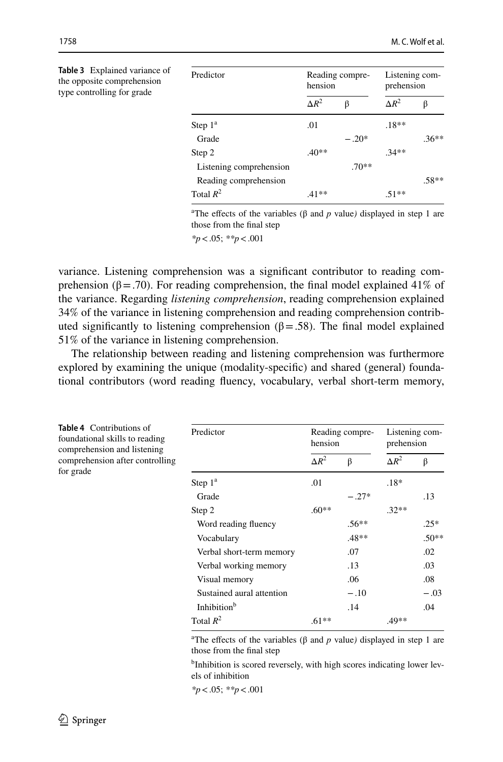<span id="page-11-0"></span>

| <b>Table 3</b> Explained variance of<br>the opposite comprehension<br>type controlling for grade | Predictor               | Reading compre-<br>hension |         | Listening com-<br>prehension |         |
|--------------------------------------------------------------------------------------------------|-------------------------|----------------------------|---------|------------------------------|---------|
|                                                                                                  |                         | $\Delta R^2$               | β       | $\Delta R^2$                 | β       |
|                                                                                                  | Step $1^a$              | .01                        |         | $.18**$                      |         |
|                                                                                                  | Grade                   |                            | $-.20*$ |                              | $.36**$ |
|                                                                                                  | Step 2                  | $.40**$                    |         | $34**$                       |         |
|                                                                                                  | Listening comprehension |                            | $.70**$ |                              |         |
|                                                                                                  | Reading comprehension   |                            |         |                              | $.58**$ |
|                                                                                                  | Total $R^2$             | $.41**$                    |         | $.51**$                      |         |

<sup>a</sup>The effects of the variables (β and *p* value) displayed in step 1 are those from the fnal step

*\*p*<.05; *\*\*p*<.001

variance. Listening comprehension was a signifcant contributor to reading comprehension ( $\beta$ =.70). For reading comprehension, the final model explained 41% of the variance. Regarding *listening comprehension*, reading comprehension explained 34% of the variance in listening comprehension and reading comprehension contributed significantly to listening comprehension ( $\beta$  = .58). The final model explained 51% of the variance in listening comprehension.

The relationship between reading and listening comprehension was furthermore explored by examining the unique (modality-specifc) and shared (general) foundational contributors (word reading fuency, vocabulary, verbal short-term memory,

<span id="page-11-1"></span>

| <b>Table 4</b> Contributions of<br>foundational skills to reading<br>comprehension and listening | Predictor                 | Reading compre-<br>hension |         | Listening com-<br>prehension |         |
|--------------------------------------------------------------------------------------------------|---------------------------|----------------------------|---------|------------------------------|---------|
| comprehension after controlling<br>for grade                                                     |                           | $\Delta R^2$               | $\beta$ | $\Delta R^2$                 | β       |
|                                                                                                  | Step $1^a$                | .01                        |         | $.18*$                       |         |
|                                                                                                  | Grade                     |                            | $-.27*$ |                              | .13     |
|                                                                                                  | Step 2                    | $.60**$                    |         | $.32**$                      |         |
|                                                                                                  | Word reading fluency      |                            | $.56**$ |                              | $.25*$  |
|                                                                                                  | Vocabulary                |                            | $.48**$ |                              | $.50**$ |
|                                                                                                  | Verbal short-term memory  |                            | .07     |                              | .02     |
|                                                                                                  | Verbal working memory     |                            | .13     |                              | .03     |
|                                                                                                  | Visual memory             |                            | .06     |                              | .08     |
|                                                                                                  | Sustained aural attention |                            | $-.10$  |                              | $-.03$  |
|                                                                                                  | Inhibition <sup>b</sup>   |                            | .14     |                              | .04     |
|                                                                                                  | Total $R^2$               | $.61**$                    |         | .49**                        |         |

<sup>a</sup>The effects of the variables (β and *p* value) displayed in step 1 are those from the fnal step

b Inhibition is scored reversely, with high scores indicating lower levels of inhibition

*\*p*<.05; *\*\*p*<.001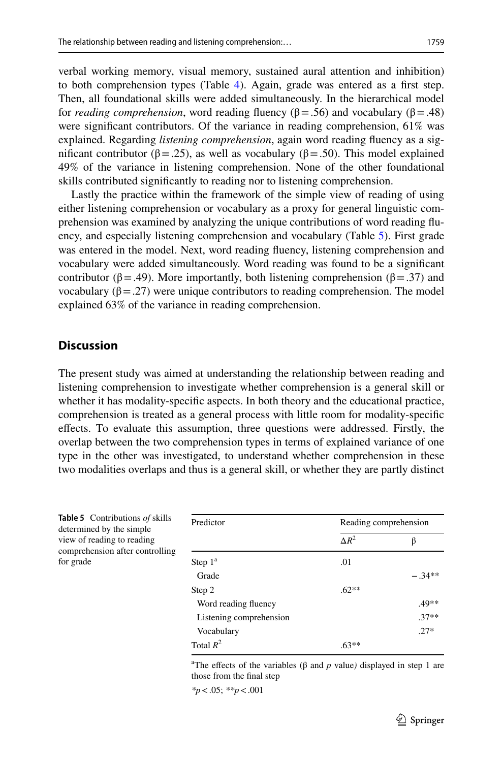verbal working memory, visual memory, sustained aural attention and inhibition) to both comprehension types (Table [4\)](#page-11-1). Again, grade was entered as a frst step. Then, all foundational skills were added simultaneously. In the hierarchical model for *reading comprehension*, word reading fuency (β=.56) and vocabulary (β=.48) were signifcant contributors. Of the variance in reading comprehension, 61% was explained. Regarding *listening comprehension*, again word reading fuency as a significant contributor (β=.25), as well as vocabulary (β=.50). This model explained 49% of the variance in listening comprehension. None of the other foundational skills contributed signifcantly to reading nor to listening comprehension.

Lastly the practice within the framework of the simple view of reading of using either listening comprehension or vocabulary as a proxy for general linguistic comprehension was examined by analyzing the unique contributions of word reading fuency, and especially listening comprehension and vocabulary (Table [5\)](#page-12-0). First grade was entered in the model. Next, word reading fuency, listening comprehension and vocabulary were added simultaneously. Word reading was found to be a signifcant contributor ( $\beta$ =.49). More importantly, both listening comprehension ( $\beta$ =.37) and vocabulary  $(β = .27)$  were unique contributors to reading comprehension. The model explained 63% of the variance in reading comprehension.

# **Discussion**

The present study was aimed at understanding the relationship between reading and listening comprehension to investigate whether comprehension is a general skill or whether it has modality-specifc aspects. In both theory and the educational practice, comprehension is treated as a general process with little room for modality-specifc efects. To evaluate this assumption, three questions were addressed. Firstly, the overlap between the two comprehension types in terms of explained variance of one type in the other was investigated, to understand whether comprehension in these two modalities overlaps and thus is a general skill, or whether they are partly distinct

<span id="page-12-0"></span>

| <b>Table 5</b> Contributions of skills<br>determined by the simple | Predictor               | Reading comprehension |         |  |  |
|--------------------------------------------------------------------|-------------------------|-----------------------|---------|--|--|
| view of reading to reading<br>comprehension after controlling      |                         | $\Delta R^2$          | β       |  |  |
| for grade                                                          | Step $1^a$              | .01                   |         |  |  |
|                                                                    | Grade                   |                       | $-34**$ |  |  |
|                                                                    | Step 2                  | $.62**$               |         |  |  |
|                                                                    | Word reading fluency    |                       | $.49**$ |  |  |
|                                                                    | Listening comprehension |                       | $.37**$ |  |  |
|                                                                    | Vocabulary              |                       | $.27*$  |  |  |
|                                                                    | Total $R^2$             | $.63**$               |         |  |  |

<sup>a</sup>The effects of the variables (β and *p* value) displayed in step 1 are those from the fnal step

*\*p*<.05; *\*\*p*<.001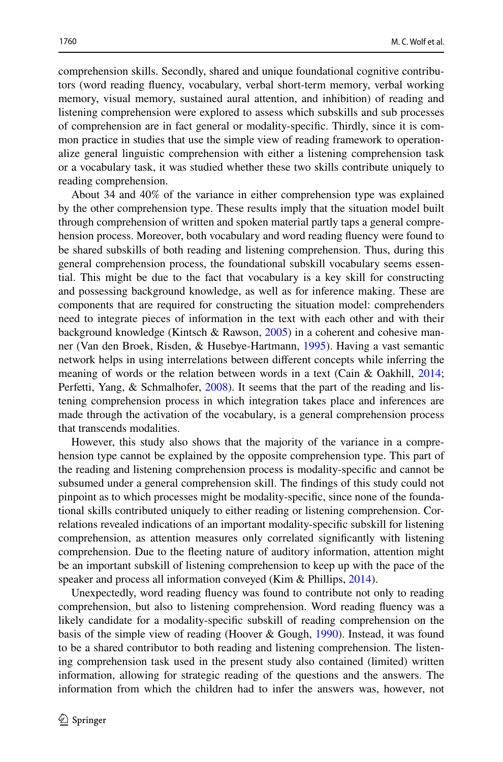comprehension skills. Secondly, shared and unique foundational cognitive contributors (word reading fuency, vocabulary, verbal short-term memory, verbal working memory, visual memory, sustained aural attention, and inhibition) of reading and listening comprehension were explored to assess which subskills and sub processes of comprehension are in fact general or modality-specifc. Thirdly, since it is common practice in studies that use the simple view of reading framework to operationalize general linguistic comprehension with either a listening comprehension task or a vocabulary task, it was studied whether these two skills contribute uniquely to reading comprehension.

About 34 and 40% of the variance in either comprehension type was explained by the other comprehension type. These results imply that the situation model built through comprehension of written and spoken material partly taps a general comprehension process. Moreover, both vocabulary and word reading fuency were found to be shared subskills of both reading and listening comprehension. Thus, during this general comprehension process, the foundational subskill vocabulary seems essential. This might be due to the fact that vocabulary is a key skill for constructing and possessing background knowledge, as well as for inference making. These are components that are required for constructing the situation model: comprehenders need to integrate pieces of information in the text with each other and with their background knowledge (Kintsch & Rawson, [2005\)](#page-18-19) in a coherent and cohesive manner (Van den Broek, Risden, & Husebye-Hartmann, [1995](#page-20-10)). Having a vast semantic network helps in using interrelations between diferent concepts while inferring the meaning of words or the relation between words in a text (Cain & Oakhill, [2014;](#page-17-9) Perfetti, Yang, & Schmalhofer, [2008](#page-19-19)). It seems that the part of the reading and listening comprehension process in which integration takes place and inferences are made through the activation of the vocabulary, is a general comprehension process that transcends modalities.

However, this study also shows that the majority of the variance in a comprehension type cannot be explained by the opposite comprehension type. This part of the reading and listening comprehension process is modality-specifc and cannot be subsumed under a general comprehension skill. The fndings of this study could not pinpoint as to which processes might be modality-specifc, since none of the foundational skills contributed uniquely to either reading or listening comprehension. Correlations revealed indications of an important modality-specifc subskill for listening comprehension, as attention measures only correlated signifcantly with listening comprehension. Due to the feeting nature of auditory information, attention might be an important subskill of listening comprehension to keep up with the pace of the speaker and process all information conveyed (Kim & Phillips, [2014\)](#page-18-12).

Unexpectedly, word reading fuency was found to contribute not only to reading comprehension, but also to listening comprehension. Word reading fuency was a likely candidate for a modality-specifc subskill of reading comprehension on the basis of the simple view of reading (Hoover & Gough, [1990\)](#page-18-3). Instead, it was found to be a shared contributor to both reading and listening comprehension. The listening comprehension task used in the present study also contained (limited) written information, allowing for strategic reading of the questions and the answers. The information from which the children had to infer the answers was, however, not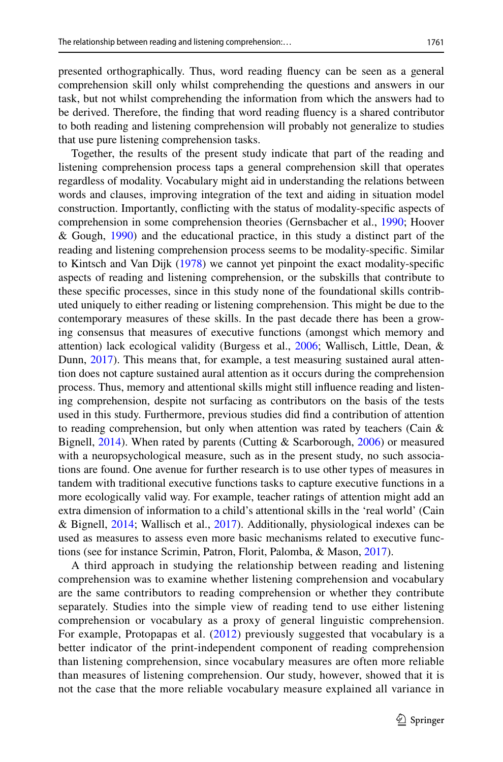presented orthographically. Thus, word reading fuency can be seen as a general comprehension skill only whilst comprehending the questions and answers in our task, but not whilst comprehending the information from which the answers had to be derived. Therefore, the fnding that word reading fuency is a shared contributor to both reading and listening comprehension will probably not generalize to studies that use pure listening comprehension tasks.

Together, the results of the present study indicate that part of the reading and listening comprehension process taps a general comprehension skill that operates regardless of modality. Vocabulary might aid in understanding the relations between words and clauses, improving integration of the text and aiding in situation model construction. Importantly, conficting with the status of modality-specifc aspects of comprehension in some comprehension theories (Gernsbacher et al., [1990;](#page-18-2) Hoover & Gough, [1990](#page-18-3)) and the educational practice, in this study a distinct part of the reading and listening comprehension process seems to be modality-specifc. Similar to Kintsch and Van Dijk ([1978\)](#page-18-1) we cannot yet pinpoint the exact modality-specifc aspects of reading and listening comprehension, or the subskills that contribute to these specifc processes, since in this study none of the foundational skills contributed uniquely to either reading or listening comprehension. This might be due to the contemporary measures of these skills. In the past decade there has been a growing consensus that measures of executive functions (amongst which memory and attention) lack ecological validity (Burgess et al., [2006;](#page-17-18) Wallisch, Little, Dean, & Dunn, [2017\)](#page-20-11). This means that, for example, a test measuring sustained aural attention does not capture sustained aural attention as it occurs during the comprehension process. Thus, memory and attentional skills might still infuence reading and listening comprehension, despite not surfacing as contributors on the basis of the tests used in this study. Furthermore, previous studies did fnd a contribution of attention to reading comprehension, but only when attention was rated by teachers (Cain  $\&$ Bignell, [2014\)](#page-17-8). When rated by parents (Cutting & Scarborough, [2006](#page-17-7)) or measured with a neuropsychological measure, such as in the present study, no such associations are found. One avenue for further research is to use other types of measures in tandem with traditional executive functions tasks to capture executive functions in a more ecologically valid way. For example, teacher ratings of attention might add an extra dimension of information to a child's attentional skills in the 'real world' (Cain & Bignell, [2014](#page-17-8); Wallisch et al., [2017](#page-20-11)). Additionally, physiological indexes can be used as measures to assess even more basic mechanisms related to executive functions (see for instance Scrimin, Patron, Florit, Palomba, & Mason, [2017](#page-19-20)).

A third approach in studying the relationship between reading and listening comprehension was to examine whether listening comprehension and vocabulary are the same contributors to reading comprehension or whether they contribute separately. Studies into the simple view of reading tend to use either listening comprehension or vocabulary as a proxy of general linguistic comprehension. For example, Protopapas et al. ([2012](#page-19-8)) previously suggested that vocabulary is a better indicator of the print-independent component of reading comprehension than listening comprehension, since vocabulary measures are often more reliable than measures of listening comprehension. Our study, however, showed that it is not the case that the more reliable vocabulary measure explained all variance in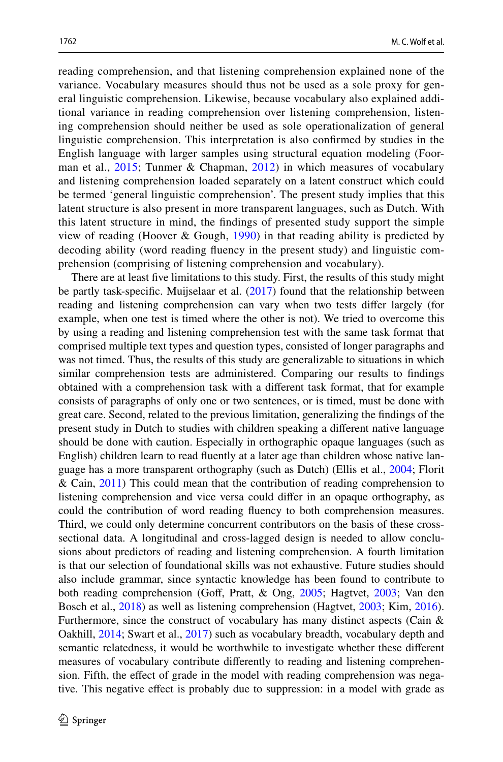reading comprehension, and that listening comprehension explained none of the variance. Vocabulary measures should thus not be used as a sole proxy for general linguistic comprehension. Likewise, because vocabulary also explained additional variance in reading comprehension over listening comprehension, listening comprehension should neither be used as sole operationalization of general linguistic comprehension. This interpretation is also confrmed by studies in the English language with larger samples using structural equation modeling (Foorman et al., [2015;](#page-18-6) Tunmer & Chapman, [2012\)](#page-20-4) in which measures of vocabulary and listening comprehension loaded separately on a latent construct which could be termed 'general linguistic comprehension'. The present study implies that this latent structure is also present in more transparent languages, such as Dutch. With this latent structure in mind, the fndings of presented study support the simple view of reading (Hoover  $\&$  Gough, [1990](#page-18-3)) in that reading ability is predicted by decoding ability (word reading fuency in the present study) and linguistic comprehension (comprising of listening comprehension and vocabulary).

There are at least fve limitations to this study. First, the results of this study might be partly task-specifc. Muijselaar et al. [\(2017](#page-19-10)) found that the relationship between reading and listening comprehension can vary when two tests difer largely (for example, when one test is timed where the other is not). We tried to overcome this by using a reading and listening comprehension test with the same task format that comprised multiple text types and question types, consisted of longer paragraphs and was not timed. Thus, the results of this study are generalizable to situations in which similar comprehension tests are administered. Comparing our results to fndings obtained with a comprehension task with a diferent task format, that for example consists of paragraphs of only one or two sentences, or is timed, must be done with great care. Second, related to the previous limitation, generalizing the fndings of the present study in Dutch to studies with children speaking a diferent native language should be done with caution. Especially in orthographic opaque languages (such as English) children learn to read fuently at a later age than children whose native language has a more transparent orthography (such as Dutch) (Ellis et al., [2004](#page-18-20); Florit & Cain, [2011\)](#page-18-5) This could mean that the contribution of reading comprehension to listening comprehension and vice versa could difer in an opaque orthography, as could the contribution of word reading fuency to both comprehension measures. Third, we could only determine concurrent contributors on the basis of these crosssectional data. A longitudinal and cross-lagged design is needed to allow conclusions about predictors of reading and listening comprehension. A fourth limitation is that our selection of foundational skills was not exhaustive. Future studies should also include grammar, since syntactic knowledge has been found to contribute to both reading comprehension (Gof, Pratt, & Ong, [2005;](#page-18-21) Hagtvet, [2003;](#page-18-8) Van den Bosch et al., [2018\)](#page-20-3) as well as listening comprehension (Hagtvet, [2003;](#page-18-8) Kim, [2016\)](#page-18-10). Furthermore, since the construct of vocabulary has many distinct aspects (Cain & Oakhill, [2014](#page-17-9); Swart et al., [2017](#page-19-11)) such as vocabulary breadth, vocabulary depth and semantic relatedness, it would be worthwhile to investigate whether these diferent measures of vocabulary contribute diferently to reading and listening comprehension. Fifth, the efect of grade in the model with reading comprehension was negative. This negative efect is probably due to suppression: in a model with grade as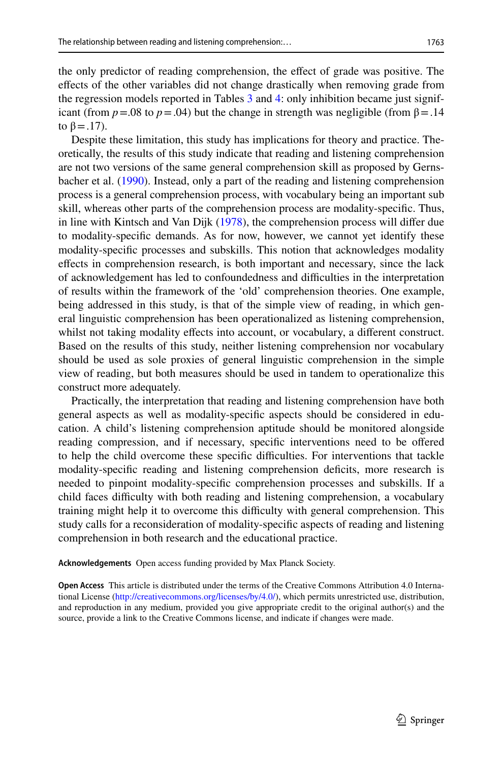the only predictor of reading comprehension, the efect of grade was positive. The efects of the other variables did not change drastically when removing grade from the regression models reported in Tables [3](#page-11-0) and [4:](#page-11-1) only inhibition became just significant (from  $p = 0.08$  to  $p = 0.04$ ) but the change in strength was negligible (from  $\beta = 0.14$ ) to  $\beta = .17$ ).

Despite these limitation, this study has implications for theory and practice. Theoretically, the results of this study indicate that reading and listening comprehension are not two versions of the same general comprehension skill as proposed by Gernsbacher et al. ([1990\)](#page-18-2). Instead, only a part of the reading and listening comprehension process is a general comprehension process, with vocabulary being an important sub skill, whereas other parts of the comprehension process are modality-specifc. Thus, in line with Kintsch and Van Dijk ([1978\)](#page-18-1), the comprehension process will difer due to modality-specifc demands. As for now, however, we cannot yet identify these modality-specifc processes and subskills. This notion that acknowledges modality efects in comprehension research, is both important and necessary, since the lack of acknowledgement has led to confoundedness and difculties in the interpretation of results within the framework of the 'old' comprehension theories. One example, being addressed in this study, is that of the simple view of reading, in which general linguistic comprehension has been operationalized as listening comprehension, whilst not taking modality effects into account, or vocabulary, a different construct. Based on the results of this study, neither listening comprehension nor vocabulary should be used as sole proxies of general linguistic comprehension in the simple view of reading, but both measures should be used in tandem to operationalize this construct more adequately.

Practically, the interpretation that reading and listening comprehension have both general aspects as well as modality-specifc aspects should be considered in education. A child's listening comprehension aptitude should be monitored alongside reading compression, and if necessary, specifc interventions need to be ofered to help the child overcome these specifc difculties. For interventions that tackle modality-specifc reading and listening comprehension defcits, more research is needed to pinpoint modality-specifc comprehension processes and subskills. If a child faces difficulty with both reading and listening comprehension, a vocabulary training might help it to overcome this difficulty with general comprehension. This study calls for a reconsideration of modality-specifc aspects of reading and listening comprehension in both research and the educational practice.

**Acknowledgements** Open access funding provided by Max Planck Society.

**Open Access** This article is distributed under the terms of the Creative Commons Attribution 4.0 International License ([http://creativecommons.org/licenses/by/4.0/\)](http://creativecommons.org/licenses/by/4.0/), which permits unrestricted use, distribution, and reproduction in any medium, provided you give appropriate credit to the original author(s) and the source, provide a link to the Creative Commons license, and indicate if changes were made.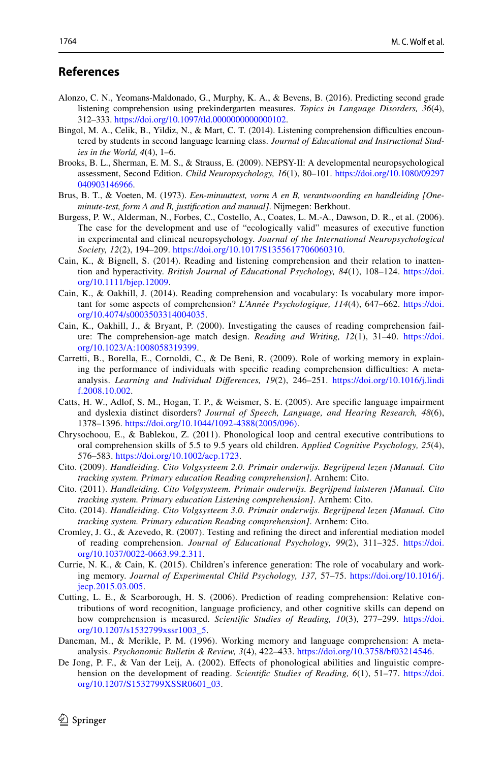### **References**

- <span id="page-17-10"></span>Alonzo, C. N., Yeomans-Maldonado, G., Murphy, K. A., & Bevens, B. (2016). Predicting second grade listening comprehension using prekindergarten measures. *Topics in Language Disorders, 36*(4), 312–333. [https://doi.org/10.1097/tld.0000000000000102.](https://doi.org/10.1097/tld.0000000000000102)
- <span id="page-17-0"></span>Bingol, M. A., Celik, B., Yildiz, N., & Mart, C. T. (2014). Listening comprehension difficulties encountered by students in second language learning class. *Journal of Educational and Instructional Studies in the World, 4*(4), 1–6.
- <span id="page-17-17"></span>Brooks, B. L., Sherman, E. M. S., & Strauss, E. (2009). NEPSY-II: A developmental neuropsychological assessment, Second Edition. *Child Neuropsychology, 16*(1), 80–101. [https://doi.org/10.1080/09297](https://doi.org/10.1080/09297040903146966) [040903146966](https://doi.org/10.1080/09297040903146966).
- <span id="page-17-16"></span>Brus, B. T., & Voeten, M. (1973). *Een-minuuttest, vorm A en B, verantwoording en handleiding [Oneminute-test, form A and B, justifcation and manual]*. Nijmegen: Berkhout.
- <span id="page-17-18"></span>Burgess, P. W., Alderman, N., Forbes, C., Costello, A., Coates, L. M.-A., Dawson, D. R., et al. (2006). The case for the development and use of "ecologically valid" measures of executive function in experimental and clinical neuropsychology. *Journal of the International Neuropsychological Society, 12*(2), 194–209. [https://doi.org/10.1017/S1355617706060310.](https://doi.org/10.1017/S1355617706060310)
- <span id="page-17-8"></span>Cain, K., & Bignell, S. (2014). Reading and listening comprehension and their relation to inattention and hyperactivity. *British Journal of Educational Psychology, 84*(1), 108–124. [https://doi.](https://doi.org/10.1111/bjep.12009) [org/10.1111/bjep.12009](https://doi.org/10.1111/bjep.12009).
- <span id="page-17-9"></span>Cain, K., & Oakhill, J. (2014). Reading comprehension and vocabulary: Is vocabulary more important for some aspects of comprehension? *L'Année Psychologique, 114*(4), 647–662. [https://doi.](https://doi.org/10.4074/s0003503314004035) [org/10.4074/s0003503314004035](https://doi.org/10.4074/s0003503314004035).
- <span id="page-17-1"></span>Cain, K., Oakhill, J., & Bryant, P. (2000). Investigating the causes of reading comprehension failure: The comprehension-age match design. *Reading and Writing, 12*(1), 31–40. [https://doi.](https://doi.org/10.1023/A:1008058319399) [org/10.1023/A:1008058319399](https://doi.org/10.1023/A:1008058319399).
- <span id="page-17-5"></span>Carretti, B., Borella, E., Cornoldi, C., & De Beni, R. (2009). Role of working memory in explaining the performance of individuals with specific reading comprehension difficulties: A metaanalysis. *Learning and Individual Diferences, 19*(2), 246–251. [https://doi.org/10.1016/j.lindi](https://doi.org/10.1016/j.lindif.2008.10.002) [f.2008.10.002](https://doi.org/10.1016/j.lindif.2008.10.002).
- <span id="page-17-2"></span>Catts, H. W., Adlof, S. M., Hogan, T. P., & Weismer, S. E. (2005). Are specifc language impairment and dyslexia distinct disorders? *Journal of Speech, Language, and Hearing Research, 48*(6), 1378–1396. [https://doi.org/10.1044/1092-4388\(2005/096\).](https://doi.org/10.1044/1092-4388(2005/096))
- <span id="page-17-11"></span>Chrysochoou, E., & Bablekou, Z. (2011). Phonological loop and central executive contributions to oral comprehension skills of 5.5 to 9.5 years old children. *Applied Cognitive Psychology, 25*(4), 576–583. <https://doi.org/10.1002/acp.1723>.
- <span id="page-17-13"></span>Cito. (2009). *Handleiding. Cito Volgsysteem 2.0. Primair onderwijs. Begrijpend lezen [Manual. Cito tracking system. Primary education Reading comprehension]*. Arnhem: Cito.
- <span id="page-17-15"></span>Cito. (2011). *Handleiding. Cito Volgsysteem. Primair onderwijs. Begrijpend luisteren [Manual. Cito tracking system. Primary education Listening comprehension]*. Arnhem: Cito.
- <span id="page-17-14"></span>Cito. (2014). *Handleiding. Cito Volgsysteem 3.0. Primair onderwijs. Begrijpend lezen [Manual. Cito tracking system. Primary education Reading comprehension]*. Arnhem: Cito.
- <span id="page-17-3"></span>Cromley, J. G., & Azevedo, R. (2007). Testing and refning the direct and inferential mediation model of reading comprehension. *Journal of Educational Psychology, 99*(2), 311–325. [https://doi.](https://doi.org/10.1037/0022-0663.99.2.311) [org/10.1037/0022-0663.99.2.311](https://doi.org/10.1037/0022-0663.99.2.311).
- <span id="page-17-12"></span>Currie, N. K., & Cain, K. (2015). Children's inference generation: The role of vocabulary and working memory. *Journal of Experimental Child Psychology, 137,* 57–75. [https://doi.org/10.1016/j.](https://doi.org/10.1016/j.jecp.2015.03.005) [jecp.2015.03.005](https://doi.org/10.1016/j.jecp.2015.03.005).
- <span id="page-17-7"></span>Cutting, L. E., & Scarborough, H. S. (2006). Prediction of reading comprehension: Relative contributions of word recognition, language profciency, and other cognitive skills can depend on how comprehension is measured. *Scientifc Studies of Reading, 10*(3), 277–299. [https://doi.](https://doi.org/10.1207/s1532799xssr1003_5) [org/10.1207/s1532799xssr1003\\_5](https://doi.org/10.1207/s1532799xssr1003_5).
- <span id="page-17-6"></span>Daneman, M., & Merikle, P. M. (1996). Working memory and language comprehension: A metaanalysis. *Psychonomic Bulletin & Review, 3*(4), 422–433. [https://doi.org/10.3758/bf03214546.](https://doi.org/10.3758/bf03214546)
- <span id="page-17-4"></span>De Jong, P. F., & Van der Leij, A. (2002). Efects of phonological abilities and linguistic comprehension on the development of reading. *Scientifc Studies of Reading, 6*(1), 51–77. [https://doi.](https://doi.org/10.1207/S1532799XSSR0601_03) [org/10.1207/S1532799XSSR0601\\_03.](https://doi.org/10.1207/S1532799XSSR0601_03)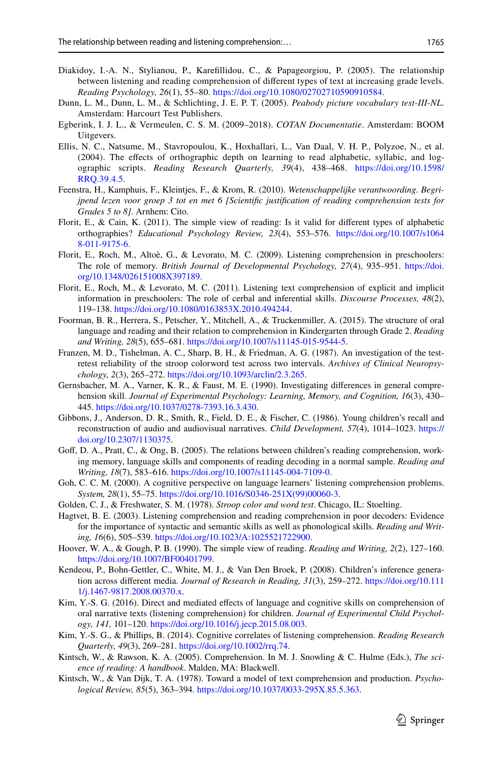- <span id="page-18-4"></span>Diakidoy, I.-A. N., Stylianou, P., Karefllidou, C., & Papageorgiou, P. (2005). The relationship between listening and reading comprehension of diferent types of text at increasing grade levels. *Reading Psychology, 26*(1), 55–80.<https://doi.org/10.1080/02702710590910584>.
- <span id="page-18-15"></span>Dunn, L. M., Dunn, L. M., & Schlichting, J. E. P. T. (2005). *Peabody picture vocabulary test-III-NL*. Amsterdam: Harcourt Test Publishers.
- <span id="page-18-16"></span>Egberink, I. J. L., & Vermeulen, C. S. M. (2009–2018). *COTAN Documentatie*. Amsterdam: BOOM Uitgevers.
- <span id="page-18-20"></span>Ellis, N. C., Natsume, M., Stavropoulou, K., Hoxhallari, L., Van Daal, V. H. P., Polyzoe, N., et al. (2004). The efects of orthographic depth on learning to read alphabetic, syllabic, and logographic scripts. *Reading Research Quarterly, 39*(4), 438–468. [https://doi.org/10.1598/](https://doi.org/10.1598/RRQ.39.4.5) [RRQ.39.4.5.](https://doi.org/10.1598/RRQ.39.4.5)
- <span id="page-18-14"></span>Feenstra, H., Kamphuis, F., Kleintjes, F., & Krom, R. (2010). *Wetenschappelijke verantwoording. Begrijpend lezen voor groep 3 tot en met 6 [Scientifc justifcation of reading comprehension tests for Grades 5 to 8]*. Arnhem: Cito.
- <span id="page-18-5"></span>Florit, E., & Cain, K. (2011). The simple view of reading: Is it valid for diferent types of alphabetic orthographies? *Educational Psychology Review, 23*(4), 553–576. [https://doi.org/10.1007/s1064](https://doi.org/10.1007/s10648-011-9175-6) [8-011-9175-6](https://doi.org/10.1007/s10648-011-9175-6).
- <span id="page-18-9"></span>Florit, E., Roch, M., Altoè, G., & Levorato, M. C. (2009). Listening comprehension in preschoolers: The role of memory. *British Journal of Developmental Psychology, 27*(4), 935–951. [https://doi.](https://doi.org/10.1348/026151008X397189) [org/10.1348/026151008X397189.](https://doi.org/10.1348/026151008X397189)
- <span id="page-18-7"></span>Florit, E., Roch, M., & Levorato, M. C. (2011). Listening text comprehension of explicit and implicit information in preschoolers: The role of cerbal and inferential skills. *Discourse Processes, 48*(2), 119–138.<https://doi.org/10.1080/0163853X.2010.494244>.
- <span id="page-18-6"></span>Foorman, B. R., Herrera, S., Petscher, Y., Mitchell, A., & Truckenmiller, A. (2015). The structure of oral language and reading and their relation to comprehension in Kindergarten through Grade 2. *Reading and Writing, 28*(5), 655–681. <https://doi.org/10.1007/s11145-015-9544-5>.
- <span id="page-18-18"></span>Franzen, M. D., Tishelman, A. C., Sharp, B. H., & Friedman, A. G. (1987). An investigation of the testretest reliability of the stroop colorword test across two intervals. *Archives of Clinical Neuropsychology, 2*(3), 265–272.<https://doi.org/10.1093/arclin/2.3.265>.
- <span id="page-18-2"></span>Gernsbacher, M. A., Varner, K. R., & Faust, M. E. (1990). Investigating diferences in general comprehension skill. *Journal of Experimental Psychology: Learning, Memory, and Cognition, 16*(3), 430– 445.<https://doi.org/10.1037/0278-7393.16.3.430>.
- <span id="page-18-13"></span>Gibbons, J., Anderson, D. R., Smith, R., Field, D. E., & Fischer, C. (1986). Young children's recall and reconstruction of audio and audiovisual narratives. *Child Development, 57*(4), 1014–1023. [https://](https://doi.org/10.2307/1130375) [doi.org/10.2307/1130375](https://doi.org/10.2307/1130375).
- <span id="page-18-21"></span>Goff, D. A., Pratt, C., & Ong, B. (2005). The relations between children's reading comprehension, working memory, language skills and components of reading decoding in a normal sample. *Reading and Writing, 18*(7), 583–616. <https://doi.org/10.1007/s11145-004-7109-0>.
- <span id="page-18-0"></span>Goh, C. C. M. (2000). A cognitive perspective on language learners' listening comprehension problems. *System, 28*(1), 55–75. [https://doi.org/10.1016/S0346-251X\(99\)00060-3.](https://doi.org/10.1016/S0346-251X(99)00060-3)
- <span id="page-18-17"></span>Golden, C. J., & Freshwater, S. M. (1978). *Stroop color and word test*. Chicago, IL: Stoelting.
- <span id="page-18-8"></span>Hagtvet, B. E. (2003). Listening comprehension and reading comprehension in poor decoders: Evidence for the importance of syntactic and semantic skills as well as phonological skills. *Reading and Writing, 16*(6), 505–539. <https://doi.org/10.1023/A:1025521722900>.
- <span id="page-18-3"></span>Hoover, W. A., & Gough, P. B. (1990). The simple view of reading. *Reading and Writing, 2*(2), 127–160. <https://doi.org/10.1007/BF00401799>.
- <span id="page-18-11"></span>Kendeou, P., Bohn-Gettler, C., White, M. J., & Van Den Broek, P. (2008). Children's inference generation across diferent media. *Journal of Research in Reading, 31*(3), 259–272. [https://doi.org/10.111](https://doi.org/10.1111/j.1467-9817.2008.00370.x) [1/j.1467-9817.2008.00370.x](https://doi.org/10.1111/j.1467-9817.2008.00370.x).
- <span id="page-18-10"></span>Kim, Y.-S. G. (2016). Direct and mediated efects of language and cognitive skills on comprehension of oral narrative texts (listening comprehension) for children. *Journal of Experimental Child Psychology, 141,* 101–120.<https://doi.org/10.1016/j.jecp.2015.08.003>.
- <span id="page-18-12"></span>Kim, Y.-S. G., & Phillips, B. (2014). Cognitive correlates of listening comprehension. *Reading Research Quarterly, 49*(3), 269–281. <https://doi.org/10.1002/rrq.74>.
- <span id="page-18-19"></span>Kintsch, W., & Rawson, K. A. (2005). Comprehension. In M. J. Snowling & C. Hulme (Eds.), *The science of reading: A handbook*. Malden, MA: Blackwell.
- <span id="page-18-1"></span>Kintsch, W., & Van Dijk, T. A. (1978). Toward a model of text comprehension and production. *Psychological Review, 85*(5), 363–394.<https://doi.org/10.1037/0033-295X.85.5.363>.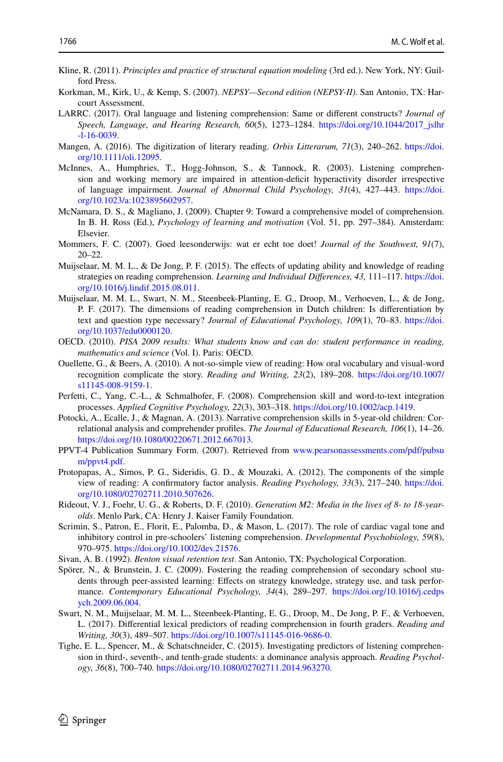- <span id="page-19-18"></span>Kline, R. (2011). *Principles and practice of structural equation modeling* (3rd ed.). New York, NY: Guilford Press.
- <span id="page-19-17"></span>Korkman, M., Kirk, U., & Kemp, S. (2007). *NEPSY—Second edition (NEPSY-II)*. San Antonio, TX: Harcourt Assessment.
- <span id="page-19-7"></span>LARRC. (2017). Oral language and listening comprehension: Same or diferent constructs? *Journal of Speech, Language, and Hearing Research, 60*(5), 1273–1284. [https://doi.org/10.1044/2017\\_jslhr](https://doi.org/10.1044/2017_jslhr-l-16-0039) [-l-16-0039](https://doi.org/10.1044/2017_jslhr-l-16-0039).
- <span id="page-19-1"></span>Mangen, A. (2016). The digitization of literary reading. *Orbis Litterarum, 71*(3), 240–262. [https://doi.](https://doi.org/10.1111/oli.12095) [org/10.1111/oli.12095](https://doi.org/10.1111/oli.12095).
- <span id="page-19-5"></span>McInnes, A., Humphries, T., Hogg-Johnson, S., & Tannock, R. (2003). Listening comprehension and working memory are impaired in attention-defcit hyperactivity disorder irrespective of language impairment. *Journal of Abnormal Child Psychology, 31*(4), 427–443. [https://doi.](https://doi.org/10.1023/a:1023895602957) [org/10.1023/a:1023895602957.](https://doi.org/10.1023/a:1023895602957)
- <span id="page-19-6"></span>McNamara, D. S., & Magliano, J. (2009). Chapter 9: Toward a comprehensive model of comprehension. In B. H. Ross (Ed.), *Psychology of learning and motivation* (Vol. 51, pp. 297–384). Amsterdam: Elsevier.
- <span id="page-19-4"></span>Mommers, F. C. (2007). Goed leesonderwijs: wat er echt toe doet! *Journal of the Southwest, 91*(7), 20–22.
- <span id="page-19-12"></span>Muijselaar, M. M. L., & De Jong, P. F. (2015). The efects of updating ability and knowledge of reading strategies on reading comprehension. *Learning and Individual Diferences, 43,* 111–117. [https://doi.](https://doi.org/10.1016/j.lindif.2015.08.011) [org/10.1016/j.lindif.2015.08.011.](https://doi.org/10.1016/j.lindif.2015.08.011)
- <span id="page-19-10"></span>Muijselaar, M. M. L., Swart, N. M., Steenbeek-Planting, E. G., Droop, M., Verhoeven, L., & de Jong, P. F. (2017). The dimensions of reading comprehension in Dutch children: Is diferentiation by text and question type necessary? *Journal of Educational Psychology, 109*(1), 70–83. [https://doi.](https://doi.org/10.1037/edu0000120) [org/10.1037/edu0000120.](https://doi.org/10.1037/edu0000120)
- <span id="page-19-2"></span>OECD. (2010). *PISA 2009 results: What students know and can do: student performance in reading, mathematics and science* (Vol. I). Paris: OECD.
- <span id="page-19-9"></span>Ouellette, G., & Beers, A. (2010). A not-so-simple view of reading: How oral vocabulary and visual-word recognition complicate the story. *Reading and Writing, 23*(2), 189–208. [https://doi.org/10.1007/](https://doi.org/10.1007/s11145-008-9159-1) [s11145-008-9159-1](https://doi.org/10.1007/s11145-008-9159-1).
- <span id="page-19-19"></span>Perfetti, C., Yang, C.-L., & Schmalhofer, F. (2008). Comprehension skill and word-to-text integration processes. *Applied Cognitive Psychology, 22*(3), 303–318. [https://doi.org/10.1002/acp.1419.](https://doi.org/10.1002/acp.1419)
- <span id="page-19-13"></span>Potocki, A., Ecalle, J., & Magnan, A. (2013). Narrative comprehension skills in 5-year-old children: Correlational analysis and comprehender profles. *The Journal of Educational Research, 106*(1), 14–26. <https://doi.org/10.1080/00220671.2012.667013>.
- <span id="page-19-15"></span>PPVT-4 Publication Summary Form. (2007). Retrieved from [www.pearsonassessments.com/pdf/pubsu](http://www.pearsonassessments.com/pdf/pubsum/ppvt4.pdf) [m/ppvt4.pdf](http://www.pearsonassessments.com/pdf/pubsum/ppvt4.pdf).
- <span id="page-19-8"></span>Protopapas, A., Simos, P. G., Sideridis, G. D., & Mouzaki, A. (2012). The components of the simple view of reading: A confrmatory factor analysis. *Reading Psychology, 33*(3), 217–240. [https://doi.](https://doi.org/10.1080/02702711.2010.507626) [org/10.1080/02702711.2010.507626](https://doi.org/10.1080/02702711.2010.507626).
- <span id="page-19-0"></span>Rideout, V. J., Foehr, U. G., & Roberts, D. F. (2010). *Generation M2: Media in the lives of 8- to 18-yearolds*. Menlo Park, CA: Henry J. Kaiser Family Foundation.
- <span id="page-19-20"></span>Scrimin, S., Patron, E., Florit, E., Palomba, D., & Mason, L. (2017). The role of cardiac vagal tone and inhibitory control in pre-schoolers' listening comprehension. *Developmental Psychobiology, 59*(8), 970–975.<https://doi.org/10.1002/dev.21576>.
- <span id="page-19-16"></span>Sivan, A. B. (1992). *Benton visual retention test*. San Antonio, TX: Psychological Corporation.
- <span id="page-19-3"></span>Spörer, N., & Brunstein, J. C. (2009). Fostering the reading comprehension of secondary school students through peer-assisted learning: Efects on strategy knowledge, strategy use, and task performance. *Contemporary Educational Psychology, 34*(4), 289–297. [https://doi.org/10.1016/j.cedps](https://doi.org/10.1016/j.cedpsych.2009.06.004) [ych.2009.06.004](https://doi.org/10.1016/j.cedpsych.2009.06.004).
- <span id="page-19-11"></span>Swart, N. M., Muijselaar, M. M. L., Steenbeek-Planting, E. G., Droop, M., De Jong, P. F., & Verhoeven, L. (2017). Diferential lexical predictors of reading comprehension in fourth graders. *Reading and Writing, 30*(3), 489–507. <https://doi.org/10.1007/s11145-016-9686-0>.
- <span id="page-19-14"></span>Tighe, E. L., Spencer, M., & Schatschneider, C. (2015). Investigating predictors of listening comprehension in third-, seventh-, and tenth-grade students: a dominance analysis approach. *Reading Psychology, 36*(8), 700–740. <https://doi.org/10.1080/02702711.2014.963270>.